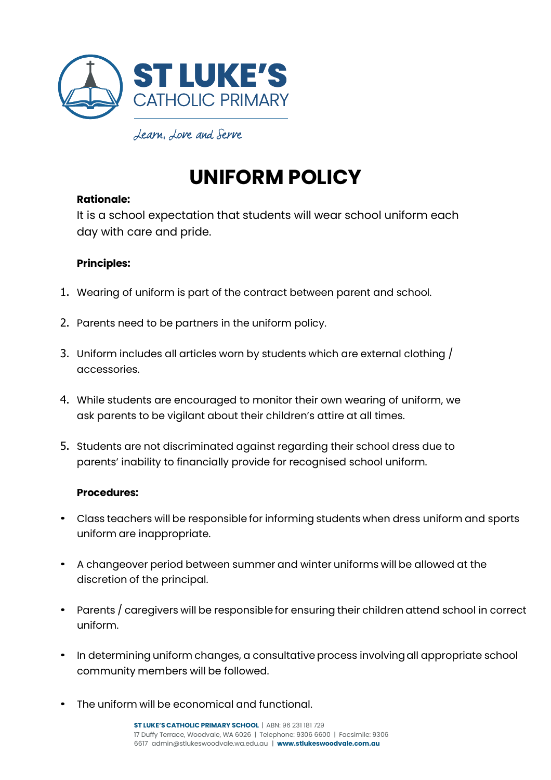

# **UNIFORM POLICY**

## **Rationale:**

It is a school expectation that students will wear school uniform each day with care and pride.

## **Principles:**

- 1. Wearing of uniform is part of the contract between parent and school.
- 2. Parents need to be partners in the uniform policy.
- 3. Uniform includes all articles worn by students which are external clothing / accessories.
- 4. While students are encouraged to monitor their own wearing of uniform, we ask parents to be vigilant about their children's attire at all times.
- 5. Students are not discriminated against regarding their school dress due to parents' inability to financially provide for recognised school uniform.

#### **Procedures:**

- Class teachers will be responsible for informing students when dress uniform and sports uniform are inappropriate.
- A changeover period between summer and winter uniforms will be allowed at the discretion of the principal.
- Parents / caregivers will be responsible for ensuring their children attend school in correct uniform.
- In determining uniform changes, a consultative process involving all appropriate school community members will be followed.
- The uniform will be economical and functional.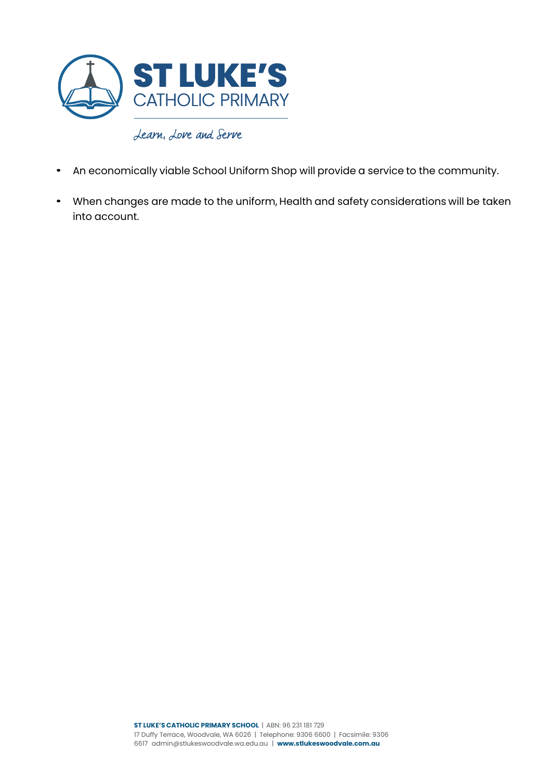

- An economically viable School Uniform Shop will provide a service to the community.
- When changes are made to the uniform, Health and safety considerations will be taken into account.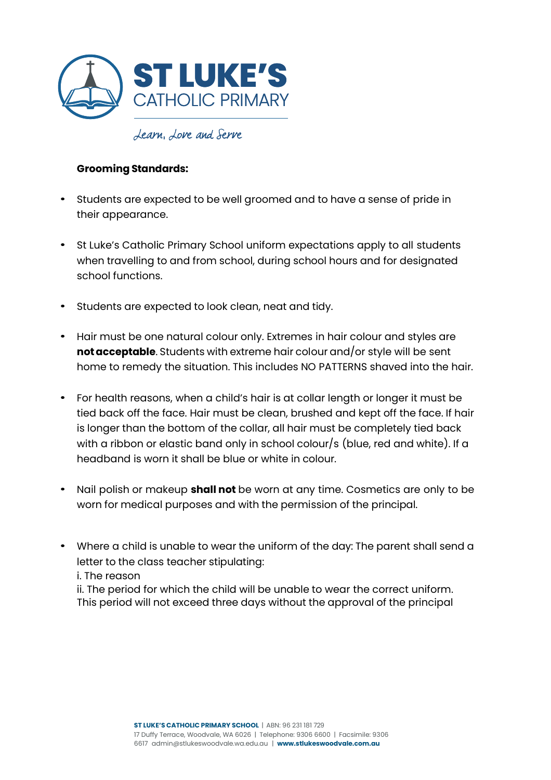

## **Grooming Standards:**

- Students are expected to be well groomed and to have a sense of pride in their appearance.
- St Luke's Catholic Primary School uniform expectations apply to all students when travelling to and from school, during school hours and for designated school functions.
- Students are expected to look clean, neat and tidy.
- Hair must be one natural colour only. Extremes in hair colour and styles are **notacceptable**. Students with extreme hair colour and/or style will be sent home to remedy the situation. This includes NO PATTERNS shaved into the hair.
- For health reasons, when a child's hair is at collar length or longer it must be tied back off the face. Hair must be clean, brushed and kept off the face. If hair is longer than the bottom of the collar, all hair must be completely tied back with a ribbon or elastic band only in school colour/s (blue, red and white). If a headband is worn it shall be blue or white in colour.
- Nail polish or makeup **shall not** be worn at any time. Cosmetics are only to be worn for medical purposes and with the permission of the principal.
- Where a child is unable to wear the uniform of the day: The parent shall send a letter to the class teacher stipulating: i. The reason ii. The period for which the child will be unable to wear the correct uniform.

This period will not exceed three days without the approval of the principal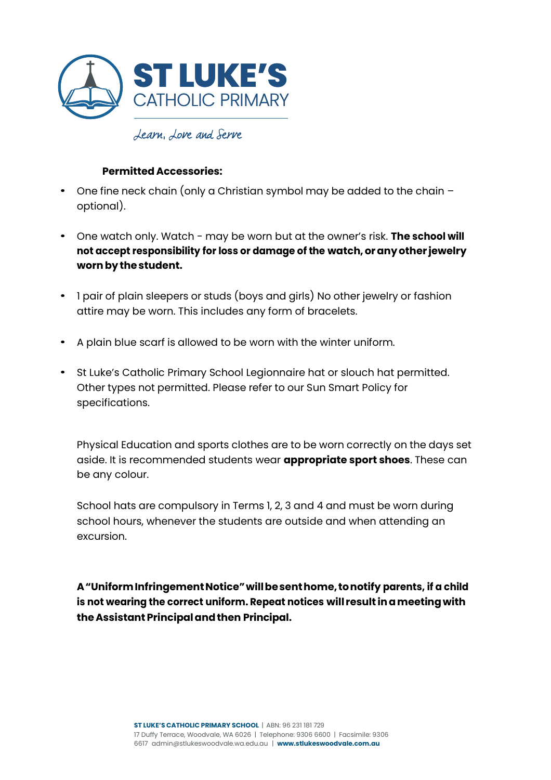

### **Permitted Accessories:**

- One fine neck chain (only a Christian symbol may be added to the chain optional).
- One watch only. Watch may be worn but at the owner's risk. **The school will not accept responsibility for loss or damage of the watch,oranyother jewelry wornbythestudent.**
- 1 pair of plain sleepers or studs (boys and girls) No other jewelry or fashion attire may be worn. This includes any form of bracelets.
- A plain blue scarf is allowed to be worn with the winter uniform.
- St Luke's Catholic Primary School Legionnaire hat or slouch hat permitted. Other types not permitted. Please refer to our Sun Smart Policy for specifications.

Physical Education and sports clothes are to be worn correctly on the days set aside. It is recommended students wear **appropriate sport shoes**. These can be any colour.

School hats are compulsory in Terms 1, 2, 3 and 4 and must be worn during school hours, whenever the students are outside and when attending an excursion.

**A"UniformInfringementNotice"willbesenthome, tonotify parents, if a child is not wearing the correct uniform. Repeat notices will result inameeting with theAssistantPrincipalandthen Principal.**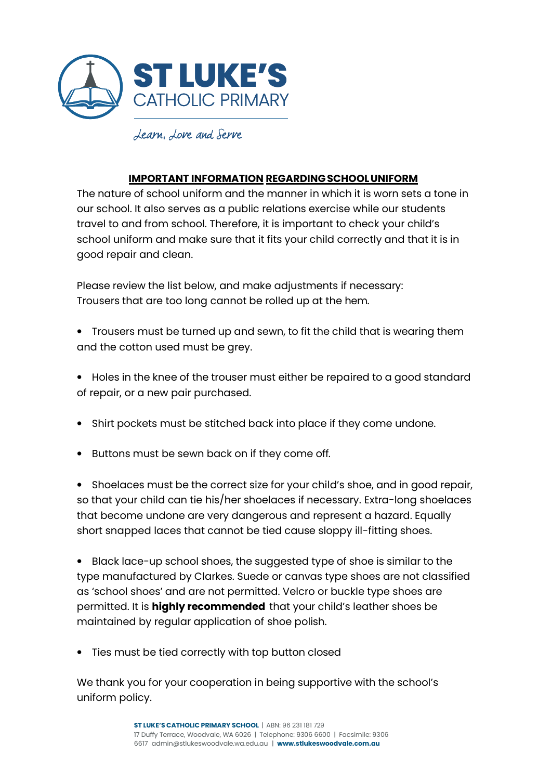

#### **IMPORTANT INFORMATION REGARDING SCHOOL UNIFORM**

The nature of school uniform and the manner in which it is worn sets a tone in our school. It also serves as a public relations exercise while our students travel to and from school. Therefore, it is important to check your child's school uniform and make sure that it fits your child correctly and that it is in good repair and clean.

Please review the list below, and make adjustments if necessary: Trousers that are too long cannot be rolled up at the hem.

- Trousers must be turned up and sewn, to fit the child that is wearing them and the cotton used must be grey.
- Holes in the knee of the trouser must either be repaired to a good standard of repair, or a new pair purchased.
- Shirt pockets must be stitched back into place if they come undone.
- Buttons must be sewn back on if they come off.

• Shoelaces must be the correct size for your child's shoe, and in good repair, so that your child can tie his/her shoelaces if necessary. Extra-long shoelaces that become undone are very dangerous and represent a hazard. Equally short snapped laces that cannot be tied cause sloppy ill-fitting shoes.

• Black lace-up school shoes, the suggested type of shoe is similar to the type manufactured by Clarkes. Suede or canvas type shoes are not classified as 'school shoes' and are not permitted. Velcro or buckle type shoes are permitted. It is **highly recommended** that your child's leather shoes be maintained by regular application of shoe polish.

• Ties must be tied correctly with top button closed

We thank you for your cooperation in being supportive with the school's uniform policy.